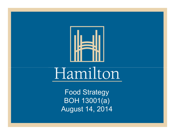

Food Strategy BOH 13001(a) August 14, 2014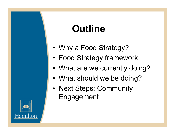# **Outline**

- •Why a Food Strategy?
- •Food Strategy framework
- •What are we currently doing?
- •What should we be doing?
- •Next Steps: Community Engagement

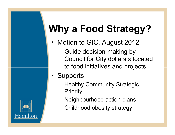# **Why a Food Strategy?**

- Motion to GIC, August 2012
	- Guide decision-making by<br>Council for City dellare allo Council for City dollars allocated to food initiatives and projects
- Supports
	- –Healthy Community Strategic **Priority**
	- Neighbourhood action plans
	- Childhood obesity strategy

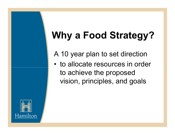# **Why a Food Strategy?**

A 10 year plan to set direction

• to allocate resources in order to achieve the proposed vision, principles, and goals

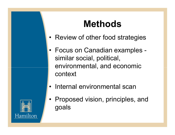## **Methods**

- Review of other food strategies
- $\bullet$  Focus on Canadian examples similar social, political, environmental, and economic context
- Internal environmental scan



• Proposed vision, principles, and goals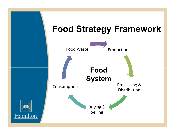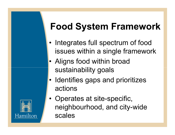# **Food System Framework**

- • Integrates full spectrum of food issues within a single framework
- •Aligns food within broad sustainability goals
- •Identifies gaps and prioritizes actions



•Operates at site-specific, neighbourhood, and city-wide scales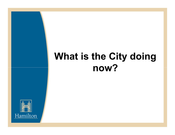# **What is the City doing now?**

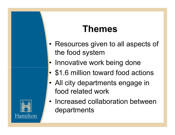### **Themes**

- •Resources given to all aspects of the food system
- Innovative work being done
- •\$1.6 million toward food actions
- All city departments engage in food related work



• Increased collaboration between departments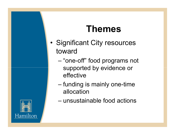### **Themes**

- •Significant City resources toward
	- – "one-off" food programs not supported by evidence or effective
	- – funding is mainly one-time allocation
	- –unsustainable food actions

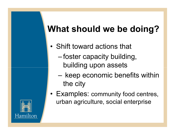## **What should we be doing?**

- • Shift toward actions that
	- –foster capacity building, building upon assets
	- –keep economic benefits within the city
- Examples: community food centres, urban agriculture, social enterprise

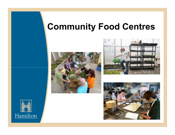### **Community Food Centres**







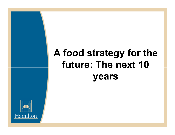# **A food strategy for the future: The next 10 years**

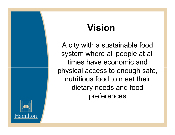## **Vision**

A city with a sustainable food system where all people at all times have economic and physical access to enough safe, nutritious food to meet their dietary needs and food preferences

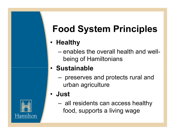# **Food System Principles**

#### • **Healthy**

–enables the overall health and wellbeing of Hamiltonians

#### • **Sustainable**

–preserves and protects rural and urban agriculture

#### • **Just**

–all residents can access healthy food, supports a living wage

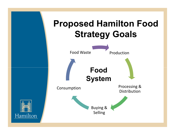